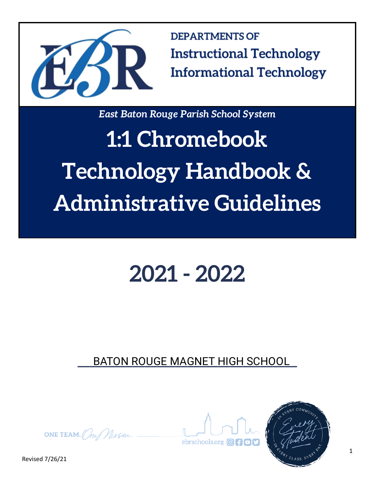

**DEPARTMENTS OF Instructional Technology Informational Technology** 

*East Baton Rouge Parish School System*

# **1:1 Chromebook Technology Handbook & Administrative Guidelines**

## **2021 - 2022**

**\_\_\_\_\_\_\_\_\_\_\_\_\_\_\_\_\_\_\_\_\_\_\_\_\_\_\_\_\_\_\_\_\_\_\_\_** BATON ROUGE MAGNET HIGH SCHOOL

ONE TEAM. (Ine Mission.



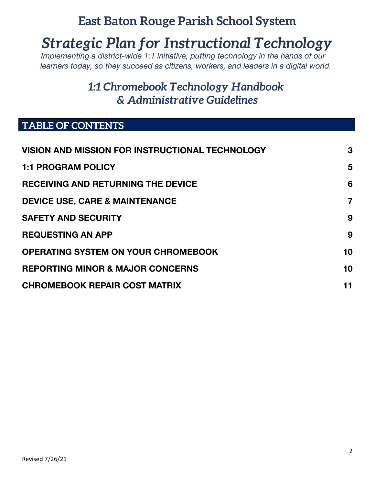## **East Baton Rouge Parish School System**

## *Strategic Plan for Instructional Technology*

*Implementing a district-wide 1:1 initiative, putting technology in the hands of our learners today, so they succeed as citizens, workers, and leaders in a digital world.*

## *1:1 Chromebook Technology Handbook & Administrative Guidelines*

## **TABLE OF CONTENTS**

| VISION AND MISSION FOR INSTRUCTIONAL TECHNOLOGY | 3              |
|-------------------------------------------------|----------------|
| <b>1:1 PROGRAM POLICY</b>                       | 5              |
| <b>RECEIVING AND RETURNING THE DEVICE</b>       | 6              |
| <b>DEVICE USE, CARE &amp; MAINTENANCE</b>       | $\overline{7}$ |
| <b>SAFETY AND SECURITY</b>                      | 9              |
| <b>REQUESTING AN APP</b>                        | 9              |
| <b>OPERATING SYSTEM ON YOUR CHROMEBOOK</b>      | 10             |
| <b>REPORTING MINOR &amp; MAJOR CONCERNS</b>     | 10             |
| <b>CHROMEBOOK REPAIR COST MATRIX</b>            | 11             |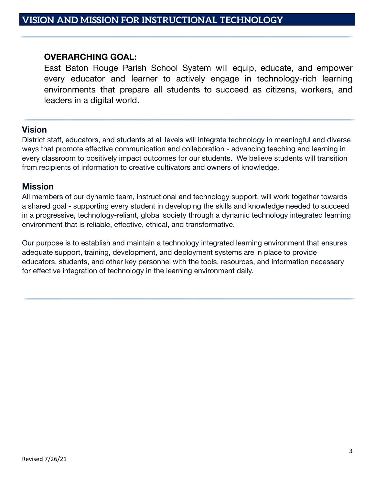#### <span id="page-2-0"></span>**OVERARCHING GOAL:**

East Baton Rouge Parish School System will equip, educate, and empower every educator and learner to actively engage in technology-rich learning environments that prepare all students to succeed as citizens, workers, and leaders in a digital world.

#### **Vision**

District staff, educators, and students at all levels will integrate technology in meaningful and diverse ways that promote effective communication and collaboration - advancing teaching and learning in every classroom to positively impact outcomes for our students. We believe students will transition from recipients of information to creative cultivators and owners of knowledge.

#### **Mission**

All members of our dynamic team, instructional and technology support, will work together towards a shared goal - supporting every student in developing the skills and knowledge needed to succeed in a progressive, technology-reliant, global society through a dynamic technology integrated learning environment that is reliable, effective, ethical, and transformative.

Our purpose is to establish and maintain a technology integrated learning environment that ensures adequate support, training, development, and deployment systems are in place to provide educators, students, and other key personnel with the tools, resources, and information necessary for effective integration of technology in the learning environment daily.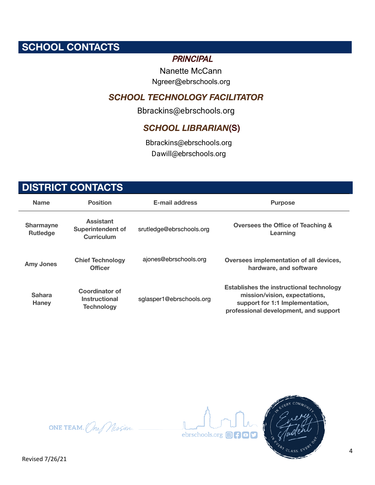## **SCHOOL CONTACTS**

**Nanette McCann** *PRINCIPAL*<br>Nanette McCann<br>Ngreer@ebrschools.org

#### *SCHOOL TECHNOLOGY FACILITATOR*

Bbr[ackins@ebrschools.](mailto:stirgusb@wfpsb.org)org

### *SCHOOL LIBRARIAN* (S)

Bbrackins@ebrschools.org Dawill@ebrschools.org

## **DISTRICT CONTACTS**

| <b>Name</b>                   | <b>Position</b>                                                    | E-mail address           | <b>Purpose</b>                                                                                                                                               |
|-------------------------------|--------------------------------------------------------------------|--------------------------|--------------------------------------------------------------------------------------------------------------------------------------------------------------|
| Sharmayne<br><b>Rutledge</b>  | <b>Assistant</b><br><b>Superintendent of</b><br><b>Curriculum</b>  | srutledge@ebrschools.org | Oversees the Office of Teaching &<br>Learning                                                                                                                |
| <b>Amy Jones</b>              | <b>Chief Technology</b><br><b>Officer</b>                          | ajones@ebrschools.org    | Oversees implementation of all devices,<br>hardware, and software                                                                                            |
| <b>Sahara</b><br><b>Haney</b> | <b>Coordinator of</b><br><b>Instructional</b><br><b>Technology</b> | sglasper1@ebrschools.org | <b>Establishes the instructional technology</b><br>mission/vision, expectations,<br>support for 1:1 Implementation,<br>professional development, and support |

ONE TEAM. One Mission.



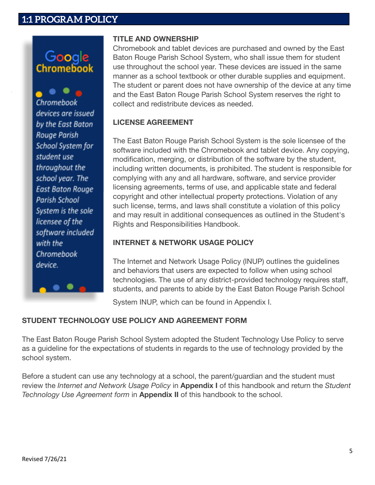#### <span id="page-4-0"></span>**1:1 PROGRAM POLICY**

## Google Chromebook

Chromehook devices are issued by the East Baton Rouge Parish **School System for** student use throughout the school year. The **East Baton Rouge** Parish School System is the sole licensee of the software included with the Chromebook device.

#### **TITLE AND OWNERSHIP**

Chromebook and tablet devices are purchased and owned by the East Baton Rouge Parish School System, who shall issue them for student use throughout the school year. These devices are issued in the same manner as a school textbook or other durable supplies and equipment. The student or parent does not have ownership of the device at any time and the East Baton Rouge Parish School System reserves the right to collect and redistribute devices as needed.

#### **LICENSE AGREEMENT**

The East Baton Rouge Parish School System is the sole licensee of the software included with the Chromebook and tablet device. Any copying, modification, merging, or distribution of the software by the student, including written documents, is prohibited. The student is responsible for complying with any and all hardware, software, and service provider licensing agreements, terms of use, and applicable state and federal copyright and other intellectual property protections. Violation of any such license, terms, and laws shall constitute a violation of this policy and may result in additional consequences as outlined in the Student's Rights and Responsibilities Handbook.

#### **INTERNET & NETWORK USAGE POLICY**

The Internet and Network Usage Policy (INUP) outlines the guidelines and behaviors that users are expected to follow when using school technologies. The use of any district-provided technology requires staff, students, and parents to abide by the East Baton Rouge Parish School

System INUP, which can be found in Appendix I.

#### **STUDENT TECHNOLOGY USE POLICY AND AGREEMENT FORM**

The East Baton Rouge Parish School System adopted the Student Technology Use Policy to serve as a guideline for the expectations of students in regards to the use of technology provided by the school system.

Before a student can use any technology at a school, the parent/guardian and the student must review the *Internet and Network Usage Policy* in **Appendix I** of this handbook and return the *Student Technology Use Agreement form* in **Appendix II** of this handbook to the school.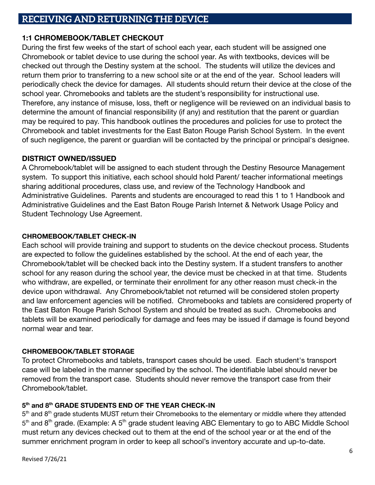#### <span id="page-5-0"></span>**RECEIVING AND RETURNING THE DEVICE**

#### **1:1 CHROMEBOOK/TABLET CHECKOUT**

During the first few weeks of the start of school each year, each student will be assigned one Chromebook or tablet device to use during the school year. As with textbooks, devices will be checked out through the Destiny system at the school. The students will utilize the devices and return them prior to transferring to a new school site or at the end of the year. School leaders will periodically check the device for damages. All students should return their device at the close of the school year. Chromebooks and tablets are the student's responsibility for instructional use. Therefore, any instance of misuse, loss, theft or negligence will be reviewed on an individual basis to determine the amount of financial responsibility (if any) and restitution that the parent or guardian may be required to pay. This handbook outlines the procedures and policies for use to protect the Chromebook and tablet investments for the East Baton Rouge Parish School System. In the event of such negligence, the parent or guardian will be contacted by the principal or principal's designee.

#### **DISTRICT OWNED/ISSUED**

A Chromebook/tablet will be assigned to each student through the Destiny Resource Management system. To support this initiative, each school should hold Parent/ teacher informational meetings sharing additional procedures, class use, and review of the Technology Handbook and Administrative Guidelines. Parents and students are encouraged to read this 1 to 1 Handbook and Administrative Guidelines and the East Baton Rouge Parish Internet & Network Usage Policy and Student Technology Use Agreement.

#### **CHROMEBOOK/TABLET CHECK-IN**

Each school will provide training and support to students on the device checkout process. Students are expected to follow the guidelines established by the school. At the end of each year, the Chromebook/tablet will be checked back into the Destiny system. If a student transfers to another school for any reason during the school year, the device must be checked in at that time. Students who withdraw, are expelled, or terminate their enrollment for any other reason must check-in the device upon withdrawal. Any Chromebook/tablet not returned will be considered stolen property and law enforcement agencies will be notified. Chromebooks and tablets are considered property of the East Baton Rouge Parish School System and should be treated as such. Chromebooks and tablets will be examined periodically for damage and fees may be issued if damage is found beyond normal wear and tear.

#### **CHROMEBOOK/TABLET STORAGE**

To protect Chromebooks and tablets, transport cases should be used. Each student's transport case will be labeled in the manner specified by the school. The identifiable label should never be removed from the transport case. Students should never remove the transport case from their Chromebook/tablet.

#### **5 th and 8 th GRADE STUDENTS END OF THE YEAR CHECK-IN**

5<sup>th</sup> and 8<sup>th</sup> grade students MUST return their Chromebooks to the elementary or middle where they attended  $5<sup>th</sup>$  and  $8<sup>th</sup>$  grade. (Example: A  $5<sup>th</sup>$  grade student leaving ABC Elementary to go to ABC Middle School must return any devices checked out to them at the end of the school year or at the end of the summer enrichment program in order to keep all school's inventory accurate and up-to-date.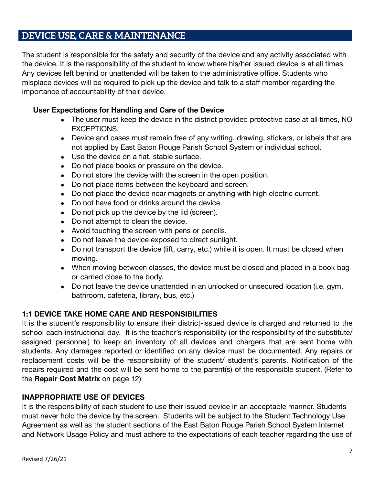#### <span id="page-6-0"></span>**DEVICE USE, CARE & MAINTENANCE**

The student is responsible for the safety and security of the device and any activity associated with the device. It is the responsibility of the student to know where his/her issued device is at all times. Any devices left behind or unattended will be taken to the administrative office. Students who misplace devices will be required to pick up the device and talk to a staff member regarding the importance of accountability of their device.

#### **User Expectations for Handling and Care of the Device**

- The user must keep the device in the district provided protective case at all times, NO EXCEPTIONS.
- Device and cases must remain free of any writing, drawing, stickers, or labels that are not applied by East Baton Rouge Parish School System or individual school.
- Use the device on a flat, stable surface.
- Do not place books or pressure on the device.
- Do not store the device with the screen in the open position.
- Do not place items between the keyboard and screen.
- Do not place the device near magnets or anything with high electric current.
- Do not have food or drinks around the device.
- Do not pick up the device by the lid (screen).
- Do not attempt to clean the device.
- Avoid touching the screen with pens or pencils.
- Do not leave the device exposed to direct sunlight.
- Do not transport the device (lift, carry, etc.) while it is open. It must be closed when moving.
- When moving between classes, the device must be closed and placed in a book bag or carried close to the body.
- Do not leave the device unattended in an unlocked or unsecured location (i.e. gym, bathroom, cafeteria, library, bus, etc.)

#### **1:1 DEVICE TAKE HOME CARE AND RESPONSIBILITIES**

It is the student's responsibility to ensure their district-issued device is charged and returned to the school each instructional day. It is the teacher's responsibility (or the responsibility of the substitute/ assigned personnel) to keep an inventory of all devices and chargers that are sent home with students. Any damages reported or identified on any device must be documented. Any repairs or replacement costs will be the responsibility of the student/ student's parents. Notification of the repairs required and the cost will be sent home to the parent(s) of the responsible student. (Refer to the **Repair Cost Matrix** on page 12)

#### **INAPPROPRIATE USE OF DEVICES**

It is the responsibility of each student to use their issued device in an acceptable manner. Students must never hold the device by the screen. Students will be subject to the Student Technology Use Agreement as well as the student sections of the East Baton Rouge Parish School System Internet and Network Usage Policy and must adhere to the expectations of each teacher regarding the use of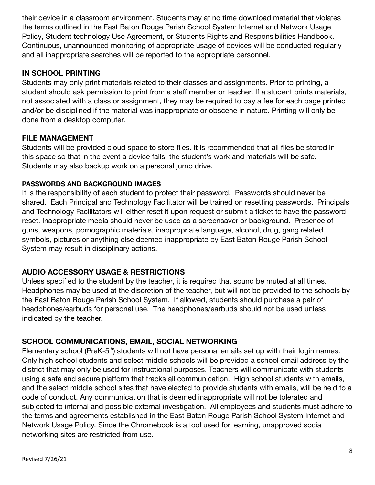their device in a classroom environment. Students may at no time download material that violates the terms outlined in the East Baton Rouge Parish School System Internet and Network Usage Policy, Student technology Use Agreement, or Students Rights and Responsibilities Handbook. Continuous, unannounced monitoring of appropriate usage of devices will be conducted regularly and all inappropriate searches will be reported to the appropriate personnel.

#### **IN SCHOOL PRINTING**

Students may only print materials related to their classes and assignments. Prior to printing, a student should ask permission to print from a staff member or teacher. If a student prints materials, not associated with a class or assignment, they may be required to pay a fee for each page printed and/or be disciplined if the material was inappropriate or obscene in nature. Printing will only be done from a desktop computer.

#### **FILE MANAGEMENT**

Students will be provided cloud space to store files. It is recommended that all files be stored in this space so that in the event a device fails, the student's work and materials will be safe. Students may also backup work on a personal jump drive.

#### **PASSWORDS AND BACKGROUND IMAGES**

It is the responsibility of each student to protect their password. Passwords should never be shared. Each Principal and Technology Facilitator will be trained on resetting passwords. Principals and Technology Facilitators will either reset it upon request or submit a ticket to have the password reset. Inappropriate media should never be used as a screensaver or background. Presence of guns, weapons, pornographic materials, inappropriate language, alcohol, drug, gang related symbols, pictures or anything else deemed inappropriate by East Baton Rouge Parish School System may result in disciplinary actions.

#### **AUDIO ACCESSORY USAGE & RESTRICTIONS**

Unless specified to the student by the teacher, it is required that sound be muted at all times. Headphones may be used at the discretion of the teacher, but will not be provided to the schools by the East Baton Rouge Parish School System. If allowed, students should purchase a pair of headphones/earbuds for personal use. The headphones/earbuds should not be used unless indicated by the teacher.

#### **SCHOOL COMMUNICATIONS, EMAIL, SOCIAL NETWORKING**

Elementary school (PreK-5<sup>th</sup>) students will not have personal emails set up with their login names. Only high school students and select middle schools will be provided a school email address by the district that may only be used for instructional purposes. Teachers will communicate with students using a safe and secure platform that tracks all communication. High school students with emails, and the select middle school sites that have elected to provide students with emails, will be held to a code of conduct. Any communication that is deemed inappropriate will not be tolerated and subjected to internal and possible external investigation. All employees and students must adhere to the terms and agreements established in the East Baton Rouge Parish School System Internet and Network Usage Policy. Since the Chromebook is a tool used for learning, unapproved social networking sites are restricted from use.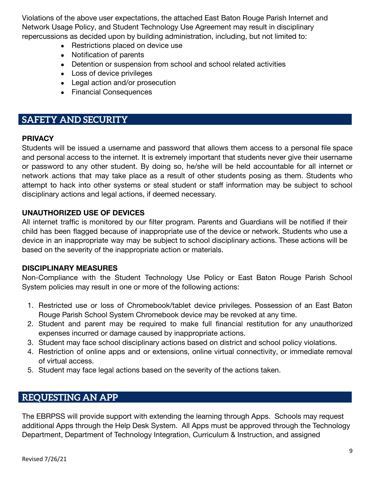Violations of the above user expectations, the attached East Baton Rouge Parish Internet and Network Usage Policy, and Student Technology Use Agreement may result in disciplinary repercussions as decided upon by building administration, including, but not limited to:

- Restrictions placed on device use
- Notification of parents
- Detention or suspension from school and school related activities
- Loss of device privileges
- Legal action and/or prosecution
- Financial Consequences

## <span id="page-8-0"></span>**SAFETY AND SECURITY**

#### **PRIVACY**

Students will be issued a username and password that allows them access to a personal file space and personal access to the internet. It is extremely important that students never give their username or password to any other student. By doing so, he/she will be held accountable for all internet or network actions that may take place as a result of other students posing as them. Students who attempt to hack into other systems or steal student or staff information may be subject to school disciplinary actions and legal actions, if deemed necessary.

#### **UNAUTHORIZED USE OF DEVICES**

All internet traffic is monitored by our filter program. Parents and Guardians will be notified if their child has been flagged because of inappropriate use of the device or network. Students who use a device in an inappropriate way may be subject to school disciplinary actions. These actions will be based on the severity of the inappropriate action or materials.

#### **DISCIPLINARY MEASURES**

Non-Compliance with the Student Technology Use Policy or East Baton Rouge Parish School System policies may result in one or more of the following actions:

- 1. Restricted use or loss of Chromebook/tablet device privileges. Possession of an East Baton Rouge Parish School System Chromebook device may be revoked at any time.
- 2. Student and parent may be required to make full financial restitution for any unauthorized expenses incurred or damage caused by inappropriate actions.
- 3. Student may face school disciplinary actions based on district and school policy violations.
- 4. Restriction of online apps and or extensions, online virtual connectivity, or immediate removal of virtual access.
- 5. Student may face legal actions based on the severity of the actions taken.

#### <span id="page-8-1"></span>**REQUESTING AN APP**

The EBRPSS will provide support with extending the learning through Apps. Schools may request additional Apps through the Help Desk System. All Apps must be approved through the Technology Department, Department of Technology Integration, Curriculum & Instruction, and assigned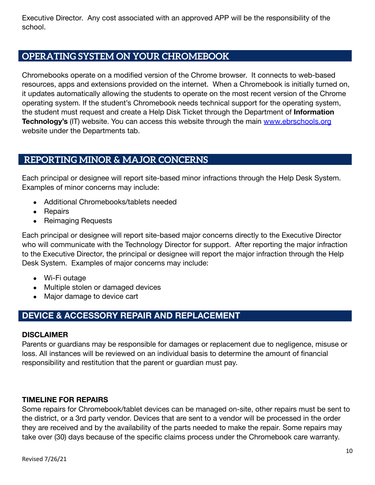Executive Director. Any cost associated with an approved APP will be the responsibility of the school.

#### <span id="page-9-0"></span>**OPERATING SYSTEM ON YOUR CHROMEBOOK**

Chromebooks operate on a modified version of the Chrome browser. It connects to web-based resources, apps and extensions provided on the internet. When a Chromebook is initially turned on, it updates automatically allowing the students to operate on the most recent version of the Chrome operating system. If the student's Chromebook needs technical support for the operating system, the student must request and create a Help Disk Ticket through the Department of **Information Technology's** (IT) website. You can access this website through the main [www.ebrschools.org](http://www.ebrschools.org) website under the Departments tab.

#### <span id="page-9-1"></span>**REPORTING MINOR & MAJOR CONCERNS**

Each principal or designee will report site-based minor infractions through the Help Desk System. Examples of minor concerns may include:

- Additional Chromebooks/tablets needed
- Repairs
- Reimaging Requests

Each principal or designee will report site-based major concerns directly to the Executive Director who will communicate with the Technology Director for support. After reporting the major infraction to the Executive Director, the principal or designee will report the major infraction through the Help Desk System. Examples of major concerns may include:

- Wi-Fi outage
- Multiple stolen or damaged devices
- Major damage to device cart

#### **DEVICE & ACCESSORY REPAIR AND REPLACEMENT**

#### **DISCLAIMER**

Parents or guardians may be responsible for damages or replacement due to negligence, misuse or loss. All instances will be reviewed on an individual basis to determine the amount of financial responsibility and restitution that the parent or guardian must pay.

#### **TIMELINE FOR REPAIRS**

Some repairs for Chromebook/tablet devices can be managed on-site, other repairs must be sent to the district, or a 3rd party vendor. Devices that are sent to a vendor will be processed in the order they are received and by the availability of the parts needed to make the repair. Some repairs may take over (30) days because of the specific claims process under the Chromebook care warranty.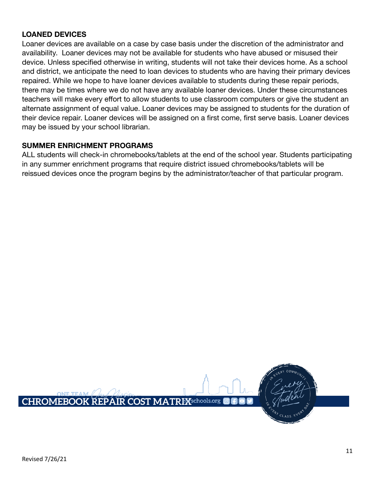#### **LOANED DEVICES**

Loaner devices are available on a case by case basis under the discretion of the administrator and availability. Loaner devices may not be available for students who have abused or misused their device. Unless specified otherwise in writing, students will not take their devices home. As a school and district, we anticipate the need to loan devices to students who are having their primary devices repaired. While we hope to have loaner devices available to students during these repair periods, there may be times where we do not have any available loaner devices. Under these circumstances teachers will make every effort to allow students to use classroom computers or give the student an alternate assignment of equal value. Loaner devices may be assigned to students for the duration of their device repair. Loaner devices will be assigned on a first come, first serve basis. Loaner devices may be issued by your school librarian.

#### **SUMMER ENRICHMENT PROGRAMS**

ALL students will check-in chromebooks/tablets at the end of the school year. Students participating in any summer enrichment programs that require district issued chromebooks/tablets will be reissued devices once the program begins by the administrator/teacher of that particular program.

<span id="page-10-0"></span>